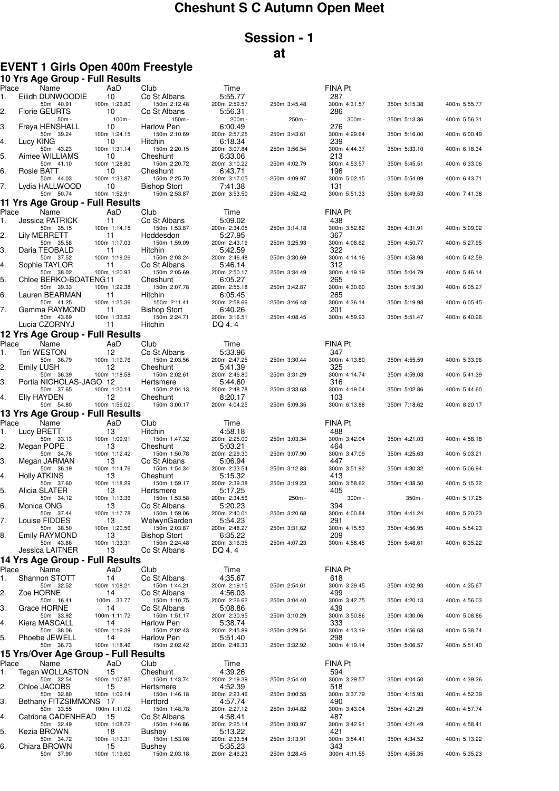# **Cheshunt S C Autumn Open Meet**

## **Session - 1 at**

### **EVENT 1 Girls Open 400m Freestyle**

|                | 10 Yrs Age Group - Full Results                  |                          |                                     |                                    |              |                            |              |              |
|----------------|--------------------------------------------------|--------------------------|-------------------------------------|------------------------------------|--------------|----------------------------|--------------|--------------|
| Place<br>1.    | Name<br>Eilidh DUNWOODIE                         | AaD<br>10                | Club<br>Co St Albans                | Time<br>5:55.77                    |              | FINA Pt<br>287             |              |              |
| 2.             | 50m 40.91<br><b>Florie GEURTS</b>                | 100m 1:26.80<br>10       | 150m 2:12.48<br>Co St Albans        | 200m 2:59.57<br>5:56.31            | 250m 3:45.48 | 300m 4:31.57<br>286        | 350m 5:15.38 | 400m 5:55.77 |
| З.             | $50m -$<br>Freya HENSHALL                        | $100m -$<br>10           | 150m -<br>Harlow Pen                | 200m -<br>6:00.49                  | 250m -       | 300m -<br>276              | 350m 5:13.36 | 400m 5:56.31 |
| 4.             | 50m 39.24<br>Lucy KING                           | 100m 1:24.15<br>10       | 150m 2:10.69<br>Hitchin             | 200m 2:57.25<br>6:18.34            | 250m 3:43.61 | 300m 4:29.64<br>239        | 350m 5:16.00 | 400m 6:00.49 |
| 5.             | 50m 43.23<br>Aimee WILLIAMS                      | 100m 1:31.14<br>10       | 150m 2:20.15<br>Cheshunt            | 200m 3:07.84<br>6:33.06            | 250m 3:56.54 | 300m 4:44.37<br>213        | 350m 5:33.10 | 400m 6:18.34 |
| 6.             | 50m 41.10<br>Rosie BATT                          | 100m 1:28.80<br>10       | 150m 2:20.72<br>Cheshunt            | 200m 3:10.22<br>6:43.71            | 250m 4:02.79 | 300m 4:53.57<br>196        | 350m 5:45.51 | 400m 6:33.06 |
| 7.             | 50m 44.03<br>Lydia HALLWOOD                      | 100m 1:33.87<br>10       | 150m 2:25.70<br><b>Bishop Stort</b> | 200m 3:17.05<br>7:41.38            | 250m 4:09.97 | 300m 5:02.15<br>131        | 350m 5:54.09 | 400m 6:43.71 |
|                | 50m 50.74                                        | 100m 1:52.91             | 150m 2:53.87                        | 200m 3:53.50                       | 250m 4:52.42 | 300m 5:51.33               | 350m 6:49.53 | 400m 7:41.38 |
|                | 11 Yrs Age Group - Full Results<br>Name          | AaD                      |                                     |                                    |              | <b>FINA Pt</b>             |              |              |
| Place<br>1.    | Jessica PATRICK                                  | 11                       | Club<br>Co St Albans                | Time<br>5:09.02                    |              | 438                        |              |              |
| 2.             | 50m 35.15<br>Lily MERRETT                        | 100m 1:14.15<br>11       | 150m 1:53.87<br>Hoddesdon           | 200m 2:34.05<br>5:27.95            | 250m 3:14.18 | 300m 3:52.82<br>367        | 350m 4:31.91 | 400m 5:09.02 |
|                | 50m 35.58                                        | 100m 1:17.03             | 150m 1:59.09                        | 200m 2:43.19                       | 250m 3:25.93 | 300m 4:08.62               | 350m 4:50.77 | 400m 5:27.95 |
| З.             | Daria TEOBALD<br>50m 37.52                       | 11<br>100m 1:19.26       | Hitchin<br>150m 2:03.24             | 5:42.59<br>200m 2:46.48            | 250m 3:30.69 | 322<br>300m 4:14.16        | 350m 4:58.98 | 400m 5:42.59 |
| 4.             | Sophie TAYLOR<br>50m 38.02                       | 11<br>100m 1:20.93       | Co St Albans<br>150m 2:05.69        | 5:46.14<br>200m 2:50.17            | 250m 3:34.49 | 312<br>300m 4:19.19        | 350m 5:04.79 | 400m 5:46.14 |
| 5.             | Chloe BERKO-BOATENG11                            |                          | Cheshunt                            | 6:05.27                            |              | 265                        |              |              |
| 6.             | 50m 39.33<br>Lauren BEARMAN                      | 100m 1:22.38<br>11       | 150m 2:07.78<br>Hitchin             | 200m 2:55.18<br>6:05.45            | 250m 3:42.87 | 300m 4:30.60<br>265        | 350m 5:19.30 | 400m 6:05.27 |
| 7.             | 50m 41.25<br>Gemma RAYMOND                       | 100m 1:25.36<br>11       | 150m 2:11.41<br><b>Bishop Stort</b> | 200m 2:58.66<br>6:40.26            | 250m 3:46.48 | 300m 4:36.14<br>201        | 350m 5:19.98 | 400m 6:05.45 |
|                | 50m 43.69                                        | 100m 1:33.52             | 150m 2:24.71                        | 200m 3:16.51                       | 250m 4:08.45 | 300m 4:59.93               | 350m 5:51.47 | 400m 6:40.26 |
|                | Lucia CZORNYJ<br>12 Yrs Age Group - Full Results | 11                       | Hitchin                             | DQ 4.4                             |              |                            |              |              |
| Place          | Name                                             | AaD                      | Club                                | Time                               |              | <b>FINA Pt</b>             |              |              |
| 1.             | <b>Tori WESTON</b>                               | 12                       | Co St Albans                        | 5:33.96                            |              | 347                        |              |              |
| 2.             | 50m 36.79<br><b>Emily LUSH</b>                   | 100m 1:19.76<br>12       | 150m 2:03.56<br>Cheshunt            | 200m 2:47.25<br>5:41.39            | 250m 3:30.44 | 300m 4:13.80<br>325        | 350m 4:55.59 | 400m 5:33.96 |
| 3.             | 50m 36.39<br>Portia NICHOLAS-JAGO 12             | 100m 1:18.58             | 150m 2:02.61<br>Hertsmere           | 200m 2:46.80<br>5:44.60            | 250m 3:31.29 | 300m 4:14.74<br>316        | 350m 4:59.08 | 400m 5:41.39 |
| 4.             | 50m 37.65<br>Elly HAYDEN                         | 100m 1:20.14<br>12       | 150m 2:04.13<br>Cheshunt            | 200m 2:48.78<br>8:20.17            | 250m 3:33.63 | 300m 4:19.04<br>103        | 350m 5:02.86 | 400m 5:44.60 |
|                | 50m 54.80                                        | 100m 1:56.02             | 150m 3:00.17                        | 200m 4:04.25                       | 250m 5:09.35 | 300m 6:13.88               | 350m 7:18.62 | 400m 8:20.17 |
| Place          | 13 Yrs Age Group - Full Results<br>Name          | AaD                      | Club                                | Time                               |              | FINA Pt                    |              |              |
| 1.             | Lucy BRETT                                       | 13                       | Hitchin                             | 4:58.18                            |              | 488                        |              |              |
|                |                                                  |                          |                                     |                                    |              |                            |              |              |
|                | 50m 33.13                                        | 100m 1:09.91             | 150m 1:47.32                        | 200m 2:25.00                       | 250m 3:03.34 | 300m 3:42.04               | 350m 4:21.03 | 400m 4:58.18 |
| 2.             | Megan POPE<br>50m 34.76                          | 13<br>100m 1:12.42       | Cheshunt<br>150m 1:50.78            | 5:03.21<br>200m 2:29.30            | 250m 3:07.90 | 464<br>300m 3:47.09        | 350m 4:25.63 | 400m 5:03.21 |
| 3.             | Megan JARMAN<br>50m 36.19                        | 13<br>100m 1:14.76       | Co St Albans<br>150m 1:54.34        | 5:06.94<br>200m 2:33.54            | 250m 3:12.83 | 447<br>300m 3:51.92        | 350m 4:30.32 | 400m 5:06.94 |
| 4.             | <b>Holly ATKINS</b>                              | 13                       | Cheshunt                            | 5:15.32                            |              | 413                        | 350m 4:38.50 | 400m 5:15.32 |
| 5.             | 50m 37.60<br>Alicia SLATER                       | 100m 1:18.29<br>13       | 150m 1:59.17<br>Hertsmere           | 200m 2:39.38<br>5:17.25            | 250m 3:19.23 | 300m 3:58.62<br>405        |              |              |
| 6.             | 50m 34.12<br>Monica ONG                          | 100m 1:13.36<br>13       | 150m 1:53.58<br>Co St Albans        | 200m 2:34.56<br>5:20.23            | 250m -       | $300m -$<br>394            | 350m -       | 400m 5:17.25 |
|                | 50m 37.44                                        | 100m 1:17.78             | 150m 1:59.06                        | 200m 2:40.01                       | 250m 3:20.68 | 300m 4:00.84               | 350m 4:41.24 | 400m 5:20.23 |
| 7.             | Louise FIDDES<br>50m 38.50                       | 13<br>100m 1:20.56       | WelwynGarden<br>150m 2:03.87        | 5:54.23<br>200m 2:48.27            | 250m 3:31.62 | 291<br>300m 4:15.53        | 350m 4:56.95 | 400m 5:54.23 |
| 8.             | <b>Emily RAYMOND</b>                             | 13                       | Bishop Stort                        | 6:35.22                            |              | 209                        |              | 400m 6:35.22 |
|                | 50m 43.86<br>Jessica LAITNER                     | 100m 1:33.31<br>13       | 150m 2:24.48<br>Co St Albans        | 200m 3:16.35<br>DQ 4.4             | 250m 4:07.23 | 300m 4:58.45               | 350m 5:48.61 |              |
|                | 14 Yrs Age Group - Full Results                  |                          |                                     |                                    |              |                            |              |              |
| Place          | Name                                             | AaD                      | Club                                | Time                               |              | <b>FINA Pt</b>             |              |              |
| 1.             | Shannon STOTT<br>50m 32.52                       | 14<br>100m 1:08.21       | Co St Albans<br>150m 1:44.21        | 4:35.67<br>200m 2:19.15            | 250m 2:54.61 | 618<br>300m 3:29.45        | 350m 4:02.93 | 400m 4:35.67 |
| 2.             | Zoe HORNE<br>50m 16.41                           | 14<br>100m 33.77         | Co St Albans<br>150m 1:10.75        | 4:56.03<br>200m 2:26.62            | 250m 3:04.40 | 499<br>300m 3:42.75        | 350m 4:20.13 | 400m 4:56.03 |
| З.             | Grace HORNE<br>50m 33.92                         | 14<br>100m 1:11.72       | Co St Albans<br>150m 1:51.17        | 5:08.86<br>200m 2:30.95            | 250m 3:10.29 | 439<br>300m 3:50.86        | 350m 4:30.06 | 400m 5:08.86 |
|                | Kiera MASCALL<br>50m 38.06                       | 14<br>100m 1:19.39       | Harlow Pen<br>150m 2:02.43          | 5:38.74<br>200m 2:45.89            | 250m 3:29.54 | 333<br>300m 4:13.19        | 350m 4:56.63 | 400m 5:38.74 |
| 4.<br>5.       | Phoebe JEWELL<br>50m 36.73                       | 14<br>100m 1:18.46       | Harlow Pen<br>150m 2:02.42          | 5:51.40<br>200m 2:46.33            | 250m 3:32.92 | 298<br>300m 4:19.14        | 350m 5:06.57 | 400m 5:51.40 |
|                | 15 Yrs/Over Age Group - Full Results             |                          |                                     |                                    |              |                            |              |              |
| Place          | Name                                             | AaD                      | Club                                | Time                               |              | FINA Pt                    |              |              |
| 1.             | Tegan WOLLASTON<br>50m 32.54                     | 15<br>100m 1:07.85       | Cheshunt<br>150m 1:43.74            | 4:39.26<br>200m 2:19.39            | 250m 2:54.40 | 594<br>300m 3:29.57        | 350m 4:04.50 | 400m 4:39.26 |
| 2.             | Chloe JACOBS<br>50m 32.80                        | 15<br>100m 1:09.14       | Hertsmere<br>150m 1:46.18           | 4:52.39<br>200m 2:23.46            | 250m 3:00.55 | 518<br>300m 3:37.79        | 350m 4:15.93 | 400m 4:52.39 |
| З.             | Bethany FITZSIMMONS 17<br>50m 33.55              | 100m 1:11.02             | Hertford<br>150m 1:48.78            | 4:57.74<br>200m 2:27.12            | 250m 3:04.82 | 490<br>300m 3:43.04        | 350m 4:21.29 | 400m 4:57.74 |
|                | Catriona CADENHEAD<br>50m 32.49                  | 15<br>100m 1:08.72       | Co St Albans<br>150m 1:46.86        | 4:58.41<br>200m 2:25.14            | 250m 3:03.97 | 487<br>300m 3:42.91        | 350m 4:21.49 | 400m 4:58.41 |
| 4.<br>5.<br>6. | Kezia BROWN<br>50m 34.72<br>Chiara BROWN         | 18<br>100m 1:13.31<br>15 | Bushey<br>150m 1:53.08<br>Bushey    | 5:13.22<br>200m 2:33.54<br>5:35.23 | 250m 3:13.91 | 421<br>300m 3:54.41<br>343 | 350m 4:34.52 | 400m 5:13.22 |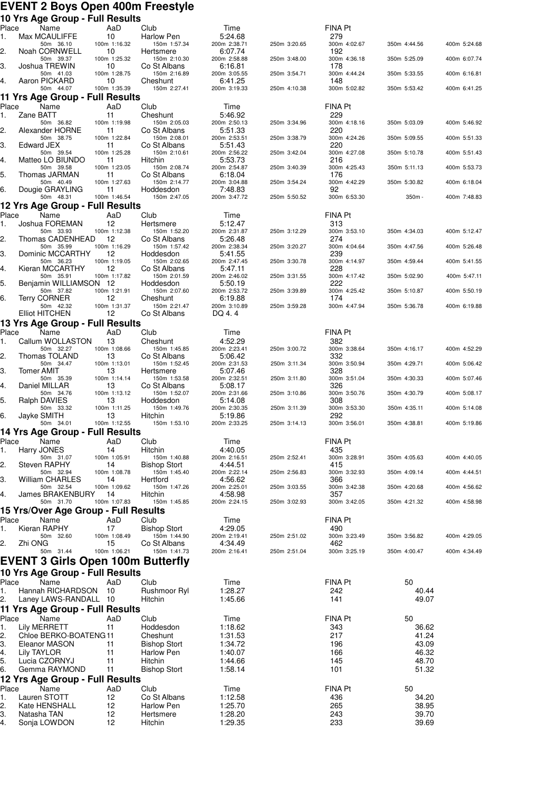#### **EVENT 2 Boys Open 400m Freestyle 10 Yrs Age Group - Full Results**

| . .<br>Place |             | waxaa xiyah<br>Name                                                  |          | י שוו ויטשונט<br>AaD | Club                            | Time                    |              | FINA Pt               |                |              |
|--------------|-------------|----------------------------------------------------------------------|----------|----------------------|---------------------------------|-------------------------|--------------|-----------------------|----------------|--------------|
| 1.           |             | Max MCAULIFFE<br>50m 36.10                                           | 10       | 100m 1:16.32         | Harlow Pen<br>150m 1:57.34      | 5:24.68<br>200m 2:38.71 | 250m 3:20.65 | 279<br>300m 4:02.67   | 350m 4:44.56   | 400m 5:24.68 |
| 2.           |             | Noah CORNWELL                                                        | 10       |                      | Hertsmere                       | 6:07.74                 |              | 192                   |                |              |
| З.           |             | 50m 39.37<br>Joshua TREWIN                                           | 10       | 100m 1:25.32         | 150m 2:10.30<br>Co St Albans    | 200m 2:58.88<br>6:16.81 | 250m 3:48.00 | 300m 4:36.18<br>178   | 350m 5:25.09   | 400m 6:07.74 |
|              |             | 50m 41.03                                                            |          | 100m 1:28.75         | 150m 2:16.89                    | 200m 3:05.55            | 250m 3:54.71 | 300m 4:44.24          | 350m 5:33.55   | 400m 6:16.81 |
| 4.           |             | Aaron PICKARD<br>50m 44.07                                           | 10       | 100m 1:35.39         | Cheshunt<br>150m 2:27.41        | 6:41.25<br>200m 3:19.33 | 250m 4:10.38 | 148<br>300m 5:02.82   | 350m 5:53.42   | 400m 6:41.25 |
|              |             | 11 Yrs Age Group - Full Results                                      |          |                      |                                 |                         |              |                       |                |              |
| Place        | Zane BATT   | Name                                                                 | 11       | AaD                  | Club                            | Time<br>5:46.92         |              | FINA Pt<br>229        |                |              |
| 1.           |             | 50m 36.82                                                            |          | 100m 1:19.98         | Cheshunt<br>150m 2:05.03        | 200m 2:50.13            | 250m 3:34.96 | 300m 4:18.16          | 350m 5:03.09   | 400m 5:46.92 |
| 2.           |             | Alexander HORNE<br>50m 38.75                                         | 11       | 100m 1:22.84         | Co St Albans<br>150m 2:08.01    | 5:51.33<br>200m 2:53.51 | 250m 3:38.79 | 220<br>300m 4:24.26   | 350m 5:09.55   | 400m 5:51.33 |
| З.           | Edward JEX  |                                                                      | 11       |                      | Co St Albans                    | 5:51.43                 |              | 220                   |                |              |
| 4.           |             | 50m 39.54<br>Matteo LO BIUNDO                                        | 11       | 100m 1:25.28         | 150m 2:10.61<br>Hitchin         | 200m 2:56.22<br>5:53.73 | 250m 3:42.04 | 300m 4:27.08<br>216   | 350m 5:10.78   | 400m 5:51.43 |
|              |             | 50m 39.58                                                            |          | 100m 1:23.05         | 150m 2:08.74                    | 200m 2:54.87            | 250m 3:40.39 | 300m 4:25.43          | 350m 5:11.13   | 400m 5:53.73 |
| 5.           |             | Thomas JARMAN<br>50m 40.49                                           | 11       | 100m 1:27.63         | Co St Albans<br>150m 2:14.77    | 6:18.04<br>200m 3:04.88 | 250m 3:54.24 | 176<br>300m 4:42.29   | 350m 5:30.82   | 400m 6:18.04 |
| 6.           |             | Dougie GRAYLING<br>50m 48.31                                         | 11       | 100m 1:46.54         | Hoddesdon<br>150m 2:47.05       | 7:48.83<br>200m 3:47.72 | 250m 5:50.52 | 92<br>300m 6:53.30    | 350m -         | 400m 7:48.83 |
|              |             | 12 Yrs Age Group - Full Results                                      |          |                      |                                 |                         |              |                       |                |              |
| Place        |             | Name                                                                 |          | AaD                  | Club                            | Time                    |              | FINA Pt               |                |              |
| 1.           |             | Joshua FOREMAN<br>50m 33.93                                          | 12       | 100m 1:12.38         | Hertsmere<br>150m 1:52.20       | 5:12.47<br>200m 2:31.87 | 250m 3:12.29 | 313<br>300m 3:53.10   | 350m 4:34.03   | 400m 5:12.47 |
| 2.           |             | Thomas CADENHEAD                                                     | 12       |                      | Co St Albans                    | 5:26.48                 |              | 274                   |                |              |
| З.           |             | 50m 35.99<br>Dominic MCCARTHY                                        | 12       | 100m 1:16.29         | 150m 1:57.42<br>Hoddesdon       | 200m 2:38.34<br>5:41.55 | 250m 3:20.27 | 300m 4:04.64<br>239   | 350m 4:47.56   | 400m 5:26.48 |
| 4.           |             | 50m 36.23<br>Kieran MCCARTHY                                         | 12       | 100m 1:19.05         | 150m 2:02.65<br>Co St Albans    | 200m 2:47.45<br>5:47.11 | 250m 3:30.78 | 300m 4:14.97<br>228   | 350m 4:59.44   | 400m 5:41.55 |
|              |             | 50m 35.91                                                            |          | 100m 1:17.82         | 150m 2:01.59                    | 200m 2:46.02            | 250m 3:31.55 | 300m 4:17.42          | 350m 5:02.90   | 400m 5:47.11 |
| 5.           |             | Benjamin WILLIAMSON 12<br>50m 37.82                                  |          | 100m 1:21.91         | Hoddesdon<br>150m 2:07.60       | 5:50.19<br>200m 2:53.72 | 250m 3:39.89 | 222<br>300m 4:25.42   | 350m 5:10.87   | 400m 5:50.19 |
| 6.           |             | <b>Terry CORNER</b>                                                  | 12       |                      | Cheshunt                        | 6:19.88                 |              | 174                   |                |              |
|              |             | 50m 42.32<br>Elliot HITCHEN                                          | 12       | 100m 1:31.37         | 150m 2:21.47<br>Co St Albans    | 200m 3:10.89<br>DQ 4.4  | 250m 3:59.28 | 300m 4:47.94          | 350m 5:36.78   | 400m 6:19.88 |
|              |             | 13 Yrs Age Group - Full Results                                      |          |                      |                                 |                         |              |                       |                |              |
| Place<br>1.  |             | Name<br>Callum WOLLASTON                                             | 13       | AaD                  | Club<br>Cheshunt                | Time<br>4:52.29         |              | FINA Pt<br>382        |                |              |
|              |             | 50m 32.27                                                            |          | 100m 1:08.66         | 150m 1:45.85                    | 200m 2:23.41            | 250m 3:00.72 | 300m 3:38.64          | 350m 4:16.17   | 400m 4:52.29 |
| 2.           |             | Thomas TOLAND<br>50m 34.47                                           | 13       | 100m 1:13.01         | Co St Albans<br>150m 1:52.45    | 5:06.42<br>200m 2:31.53 | 250m 3:11.34 | 332<br>300m 3:50.94   | 350m 4:29.71   | 400m 5:06.42 |
| З.           | Tomer AMIT  | 50m 35.39                                                            | 13       | 100m 1:14.14         | Hertsmere<br>150m 1:53.58       | 5:07.46<br>200m 2:32.51 | 250m 3:11.80 | 328<br>300m 3:51.04   | 350m 4:30.33   | 400m 5:07.46 |
| 4.           |             | Daniel MILLAR                                                        | 13       |                      | Co St Albans                    | 5:08.17                 |              | 326                   |                |              |
| 5.           |             | 50m 34.76<br>Ralph DAVIES                                            | 13       | 100m 1:13.12         | 150m 1:52.07<br>Hoddesdon       | 200m 2:31.66<br>5:14.08 | 250m 3:10.86 | 300m 3:50.76<br>308   | 350m 4:30.79   | 400m 5:08.17 |
| 6.           |             | 50m 33.32<br>Jayke SMITH                                             | 13       | 100m 1:11.25         | 150m 1:49.76<br>Hitchin         | 200m 2:30.35<br>5:19.86 | 250m 3:11.39 | 300m 3:53.30<br>292   | 350m 4:35.11   | 400m 5:14.08 |
|              |             | 50m 34.01                                                            |          | 100m 1:12.55         | 150m 1:53.10                    | 200m 2:33.25            | 250m 3:14.13 | 300m 3:56.01          | 350m 4:38.81   | 400m 5:19.86 |
|              |             | 14 Yrs Age Group - Full Results                                      |          |                      |                                 |                         |              |                       |                |              |
| 1.           |             | Place Name AaD<br>Harry JONES                                        | 14       |                      | Club<br><b>Hitchin</b>          | Time<br>4:40.05         |              | <b>FINA Pt</b><br>435 |                |              |
|              |             | 50m 31.07                                                            |          | 100m 1:05.91         | 150m 1:40.88                    | 200m 2:16.51            | 250m 2:52.41 | 300m 3:28.91          | 350m 4:05.63   | 400m 4:40.05 |
| 2.           |             | <b>Steven RAPHY</b><br>50m 32.94                                     | 14       | 100m 1:08.78         | Bishop Stort<br>150m 1:45.40    | 4:44.51<br>200m 2:22.14 | 250m 2:56.83 | 415<br>300m 3:32.93   | 350m 4:09.14   | 400m 4:44.51 |
| З.           |             | William CHARLES<br>50m 32.54                                         | 14       | 100m 1:09.62         | Hertford<br>150m 1:47.26        | 4:56.62<br>200m 2:25.01 | 250m 3:03.55 | 366<br>300m 3:42.38   | 350m 4:20.68   | 400m 4:56.62 |
| 4.           |             | James BRAKENBURY                                                     | 14       |                      | Hitchin                         | 4:58.98                 |              | 357                   |                |              |
|              |             | 50m 31.70<br>15 Yrs/Over Age Group - Full Results                    |          | 100m 1:07.83         | 150m 1:45.85                    | 200m 2:24.15            | 250m 3:02.93 | 300m 3:42.05          | 350m 4:21.32   | 400m 4:58.98 |
| Place        |             | Name                                                                 |          | AaD                  | Club                            | Time                    |              | FINA Pt               |                |              |
| 1.           |             | Kieran RAPHY<br>50m 32.60                                            | 17       | 100m 1:08.49         | Bishop Stort<br>150m 1:44.90    | 4:29.05<br>200m 2:19.41 | 250m 2:51.02 | 490<br>300m 3:23.49   | 350m 3:56.82   | 400m 4:29.05 |
| 2.           | Zhi ONG     |                                                                      | 15       |                      | Co St Albans                    | 4:34.49                 |              | 462                   |                |              |
|              |             | 50m 31.44                                                            |          | 100m 1:06.21         | 150m 1:41.73                    | 200m 2:16.41            | 250m 2:51.04 | 300m 3:25.19          | 350m 4:00.47   | 400m 4:34.49 |
|              |             | EVENT 3 Girls Open 100m Butterfly<br>10 Yrs Age Group - Full Results |          |                      |                                 |                         |              |                       |                |              |
| Place        |             | Name                                                                 |          | AaD                  | Club                            | Time                    |              | <b>FINA Pt</b>        | 50             |              |
| 1.           |             | Hannah RICHARDSON                                                    | 10       |                      | Rushmoor Ryl                    | 1:28.27                 |              | 242                   | 40.44          |              |
| 2.           |             | Laney LAWS-RANDALL 10<br>11 Yrs Age Group - Full Results             |          |                      | Hitchin                         | 1:45.66                 |              | 141                   | 49.07          |              |
| Place        |             | Name                                                                 |          | AaD                  | Club                            | Time                    |              | FINA Pt               | 50             |              |
| 1.           |             | Lily MERRETT                                                         | 11       |                      | Hoddesdon                       | 1:18.62                 |              | 343                   | 36.62          |              |
| 2.<br>3.     |             | Chloe BERKO-BOATENG11<br>Eleanor MASON                               | 11       |                      | Cheshunt<br><b>Bishop Stort</b> | 1:31.53<br>1:34.72      |              | 217<br>196            | 41.24<br>43.09 |              |
| 4.           | Lily TAYLOR |                                                                      | 11       |                      | Harlow Pen                      | 1:40.07                 |              | 166                   | 46.32          |              |
| 5.<br>6.     |             | Lucia CZORNYJ<br>Gemma RAYMOND                                       | 11<br>11 |                      | Hitchin                         | 1:44.66<br>1:58.14      |              | 145<br>101            | 48.70<br>51.32 |              |
|              |             | 12 Yrs Age Group - Full Results                                      |          |                      | Bishop Stort                    |                         |              |                       |                |              |
| Place        |             | Name                                                                 |          | AaD                  | Club                            | Time                    |              | FINA Pt               | 50             |              |
| 1.<br>2.     |             | Lauren STOTT<br>Kate HENSHALL                                        | 12<br>12 |                      | Co St Albans<br>Harlow Pen      | 1:12.58<br>1:25.70      |              | 436<br>265            | 34.20<br>38.95 |              |
| З.           |             | Natasha TAN                                                          | 12       |                      | Hertsmere                       | 1:28.20                 |              | 243                   | 39.70          |              |
| 4.           |             | Sonja LOWDON                                                         | 12       |                      | Hitchin                         | 1:29.35                 |              | 233                   | 39.69          |              |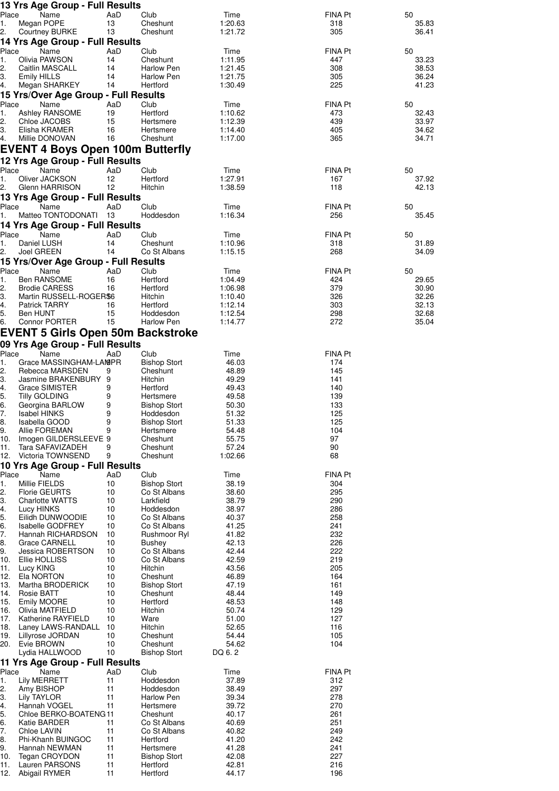|             | 13 Yrs Age Group - Full Results           |           |                                  |                    |                       |                |
|-------------|-------------------------------------------|-----------|----------------------------------|--------------------|-----------------------|----------------|
| Place<br>1. | Name<br>Megan POPE                        | AaD<br>13 | Club<br>Cheshunt                 | Time<br>1:20.63    | FINA Pt<br>318        | 50<br>35.83    |
| 2.          | <b>Courtney BURKE</b>                     | 13        | Cheshunt                         | 1:21.72            | 305                   | 36.41          |
|             | 14 Yrs Age Group - Full Results           |           |                                  |                    |                       |                |
| Place       | Name                                      | AaD       | Club                             | Time               | FINA Pt               | 50             |
| 1.<br>2.    | Olivia PAWSON<br>Caitlin MASCALL          | 14<br>14  | Cheshunt<br>Harlow Pen           | 1:11.95<br>1:21.45 | 447<br>308            | 33.23<br>38.53 |
| З.          | Emily HILLS                               | 14        | Harlow Pen                       | 1:21.75            | 305                   | 36.24          |
| 4.          | Megan SHARKEY                             | 14        | Hertford                         | 1:30.49            | 225                   | 41.23          |
|             | 15 Yrs/Over Age Group - Full Results      |           |                                  |                    |                       |                |
| Place       | Name                                      | AaD       | Club                             | Time               | FINA Pt               | 50             |
| 1.          | Ashley RANSOME                            | 19        | Hertford                         | 1:10.62            | 473                   | 32.43          |
| 2.<br>3.    | Chloe JACOBS<br>Elisha KRAMER             | 15<br>16  | Hertsmere<br>Hertsmere           | 1:12.39<br>1:14.40 | 439<br>405            | 33.97<br>34.62 |
| 4.          | Millie DONOVAN                            | 16        | Cheshunt                         | 1:17.00            | 365                   | 34.71          |
|             | EVENT 4 Boys Open 100m Butterfly          |           |                                  |                    |                       |                |
|             | 12 Yrs Age Group - Full Results           |           |                                  |                    |                       |                |
| Place       | Name                                      | AaD       | Club                             | Time               | FINA Pt               | 50             |
| 1.          | Oliver JACKSON                            | 12        | Hertford                         | 1:27.91            | 167                   | 37.92          |
| 2.          | Glenn HARRISON                            | 12        | Hitchin                          | 1:38.59            | 118                   | 42.13          |
|             | 13 Yrs Age Group - Full Results           |           |                                  |                    |                       |                |
| Place       | Name                                      | AaD       | Club                             | Time               | <b>FINA Pt</b>        | 50             |
| 1.          | Matteo TONTODONATI                        | 13        | Hoddesdon                        | 1:16.34            | 256                   | 35.45          |
|             | 14 Yrs Age Group - Full Results           |           |                                  |                    |                       |                |
| Place<br>1. | Name<br>Daniel LUSH                       | AaD<br>14 | Club<br>Cheshunt                 | Time<br>1:10.96    | <b>FINA Pt</b><br>318 | 50<br>31.89    |
| 2.          | Joel GREEN                                | 14        | Co St Albans                     | 1:15.15            | 268                   | 34.09          |
|             | 15 Yrs/Over Age Group - Full Results      |           |                                  |                    |                       |                |
| Place       | Name                                      | AaD       | Club                             | Time               | <b>FINA Pt</b>        | 50             |
| 1.          | Ben RANSOME                               | 16        | Hertford                         | 1:04.49            | 424                   | 29.65          |
| 2.          | <b>Brodie CARESS</b>                      | 16        | Hertford                         | 1:06.98            | 379                   | 30.90          |
| З.          | Martin RUSSELL-ROGER\$6                   |           | Hitchin                          | 1:10.40            | 326                   | 32.26          |
| 4.<br>5.    | <b>Patrick TARRY</b><br>Ben HUNT          | 16<br>15  | Hertford<br>Hoddesdon            | 1:12.14<br>1:12.54 | 303<br>298            | 32.13<br>32.68 |
| 6.          | Connor PORTER                             | 15        | Harlow Pen                       | 1:14.77            | 272                   | 35.04          |
|             | <b>EVENT 5 Girls Open 50m Backstroke</b>  |           |                                  |                    |                       |                |
|             | 09 Yrs Age Group - Full Results           |           |                                  |                    |                       |                |
| Place       | Name                                      | AaD       | Club                             | Time               | <b>FINA Pt</b>        |                |
| 1.          | Grace MASSINGHAM-LAMPR                    |           | <b>Bishop Stort</b>              | 46.03              | 174                   |                |
| 2.          | Rebecca MARSDEN                           | 9         | Cheshunt                         | 48.89              | 145                   |                |
| 3.          | Jasmine BRAKENBURY 9                      |           | Hitchin                          | 49.29              | 141                   |                |
| 4.          | Grace SIMISTER                            | 9         | Hertford                         | 49.43              | 140                   |                |
| 5.<br>6.    | <b>Tilly GOLDING</b><br>Georgina BARLOW   | 9<br>9    | Hertsmere<br><b>Bishop Stort</b> | 49.58<br>50.30     | 139<br>133            |                |
| 7.          | <b>Isabel HINKS</b>                       | 9         | Hoddesdon                        | 51.32              | 125                   |                |
| 8.          | Isabella GOOD                             | g         | <b>Bishop Stort</b>              | 51.33              | 125                   |                |
| 9.          | Allie FOREMAN                             | 9         | Hertsmere                        | 54.48              | 104                   |                |
| 10.<br>11.  | Imogen GILDERSLEEVE 9<br>Tara SAFAVIZADEH | 9         | Cheshunt                         | 55.75<br>57.24     | 97<br>90              |                |
| 12.         | Victoria TOWNSEND                         | 9         | Cheshunt<br>Cheshunt             | 1:02.66            | 68                    |                |
|             | 10 Yrs Age Group - Full Results           |           |                                  |                    |                       |                |
| Place       | Name                                      | AaD       | Club                             | Time               | FINA Pt               |                |
| 1.          | Millie FIELDS                             | 10        | <b>Bishop Stort</b>              | 38.19              | 304                   |                |
| 2.          | <b>Florie GEURTS</b>                      | 10        | Co St Albans                     | 38.60              | 295                   |                |
| З.          | <b>Charlotte WATTS</b>                    | 10        | Larkfield                        | 38.79              | 290                   |                |
| 4.<br>5.    | Lucy HINKS<br>Eilidh DUNWOODIE            | 10<br>10  | Hoddesdon<br>Co St Albans        | 38.97<br>40.37     | 286<br>258            |                |
| 6.          | <b>Isabelle GODFREY</b>                   | 10        | Co St Albans                     | 41.25              | 241                   |                |
| 7.          | Hannah RICHARDSON                         | 10        | Rushmoor Ryl                     | 41.82              | 232                   |                |
| 8.          | Grace CARNELL                             | 10        | Bushey                           | 42.13              | 226                   |                |
| 9.          | Jessica ROBERTSON                         | 10        | Co St Albans                     | 42.44              | 222                   |                |
| 10.<br>11.  | Ellie HOLLISS<br>Lucy KING                | 10<br>10  | Co St Albans<br>Hitchin          | 42.59<br>43.56     | 219<br>205            |                |
| 12.         | Ela NORTON                                | 10        | Cheshunt                         | 46.89              | 164                   |                |
| 13.         | Martha BRODERICK                          | 10        | <b>Bishop Stort</b>              | 47.19              | 161                   |                |
| 14.         | Rosie BATT                                | 10        | Cheshunt                         | 48.44              | 149                   |                |
| 15.         | Emily MOORE                               | 10        | Hertford                         | 48.53              | 148                   |                |
| 16.<br>17.  | Olivia MATFIELD<br>Katherine RAYFIELD     | 10<br>10  | Hitchin<br>Ware                  | 50.74<br>51.00     | 129<br>127            |                |
| 18.         | Laney LAWS-RANDALL                        | 10        | Hitchin                          | 52.65              | 116                   |                |
| 19.         | Lillyrose JORDAN                          | 10        | Cheshunt                         | 54.44              | 105                   |                |
| 20.         | Evie BROWN                                | 10        | Cheshunt                         | 54.62              | 104                   |                |
|             | Lydia HALLWOOD                            | 10        | Bishop Stort                     | DQ 6.2             |                       |                |
|             | 11 Yrs Age Group - Full Results           |           |                                  |                    |                       |                |
| Place       | Name                                      | AaD<br>11 | Club                             | Time               | FINA Pt               |                |
| 1.<br>2.    | Lily MERRETT<br>Amy BISHOP                | 11        | Hoddesdon<br>Hoddesdon           | 37.89<br>38.49     | 312<br>297            |                |
| З.          | Lily TAYLOR                               | 11        | Harlow Pen                       | 39.34              | 278                   |                |
| 4.          | Hannah VOGEL                              | 11        | Hertsmere                        | 39.72              | 270                   |                |
| 5.          | Chloe BERKO-BOATENG11                     |           | Cheshunt                         | 40.17              | 261                   |                |
| 6.          | Katie BARDER                              | 11        | Co St Albans                     | 40.69              | 251                   |                |
| 7.<br>8.    | Chloe LAVIN<br>Phi-Khanh BUINGOC          | 11<br>11  | Co St Albans<br>Hertford         | 40.82<br>41.20     | 249<br>242            |                |
| 9.          | Hannah NEWMAN                             | 11        | Hertsmere                        | 41.28              | 241                   |                |
| 10.         | Tegan CROYDON                             | 11        | <b>Bishop Stort</b>              | 42.08              | 227                   |                |
| 11.         | Lauren PARSONS                            | 11        | Hertford                         | 42.81              | 216                   |                |
| 12.         | Abigail RYMER                             | 11        | Hertford                         | 44.17              | 196                   |                |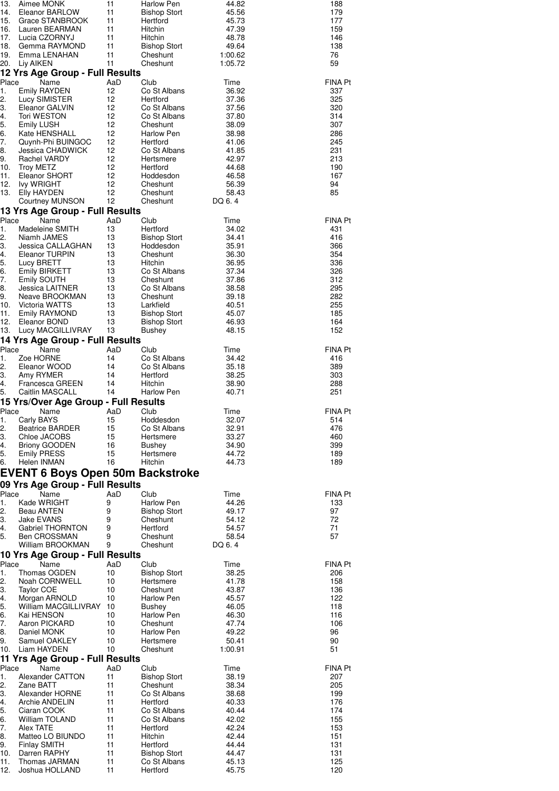| 188<br>179<br>177<br>159<br>146<br>138<br>76<br>59                                                                                                                  | FINA Pt<br>337<br>325<br>320<br>314<br>307<br>286<br>245<br>231<br>213<br>190<br>167<br>94<br>85                                                                                                                                                                                                     | FINA Pt<br>431<br>416<br>366<br>354<br>336<br>326<br>312<br>295<br>282<br>255<br>185<br>164<br>152                                                                                                                                                                          | FINA Pt<br>416<br>389<br>303<br>288<br>251                                                                                   | <b>FINA Pt</b><br>514<br>476<br>460<br>399<br>189<br>189                                                                                                                                                | FINA Pt<br>133<br>97<br>72<br>71<br>57                                                                                                     | FINA Pt<br>206<br>158<br>136<br>122<br>118<br>116<br>106<br>96<br>90<br>51                                                                                                                                              | FINA Pt<br>207<br>205<br>199<br>176<br>174<br>155<br>153<br>151<br>131<br>131<br>125<br>120                                                                                                                            |
|---------------------------------------------------------------------------------------------------------------------------------------------------------------------|------------------------------------------------------------------------------------------------------------------------------------------------------------------------------------------------------------------------------------------------------------------------------------------------------|-----------------------------------------------------------------------------------------------------------------------------------------------------------------------------------------------------------------------------------------------------------------------------|------------------------------------------------------------------------------------------------------------------------------|---------------------------------------------------------------------------------------------------------------------------------------------------------------------------------------------------------|--------------------------------------------------------------------------------------------------------------------------------------------|-------------------------------------------------------------------------------------------------------------------------------------------------------------------------------------------------------------------------|------------------------------------------------------------------------------------------------------------------------------------------------------------------------------------------------------------------------|
| 44.82<br>45.56<br>45.73<br>47.39<br>48.78<br>49.64<br>1:00.62<br>1:05.72                                                                                            | Time<br>36.92<br>37.36<br>37.56<br>37.80<br>38.09<br>38.98<br>41.06<br>41.85<br>42.97<br>44.68<br>46.58<br>56.39<br>58.43<br>DQ 6.4                                                                                                                                                                  | Time<br>34.02<br>34.41<br>35.91<br>36.30<br>36.95<br>37.34<br>37.86<br>38.58<br>39.18<br>40.51<br>45.07<br>46.93<br>48.15                                                                                                                                                   | Time<br>34.42<br>35.18<br>38.25<br>38.90<br>40.71                                                                            | Time<br>32.07<br>32.91<br>33.27<br>34.90<br>44.72<br>44.73                                                                                                                                              | Time<br>44.26<br>49.17<br>54.12<br>54.57<br>58.54<br>DQ 6.4                                                                                | Time<br>38.25<br>41.78<br>43.87<br>45.57<br>46.05<br>46.30<br>47.74<br>49.22<br>50.41<br>1:00.91                                                                                                                        | Time<br>38.19<br>38.34<br>38.68<br>40.33<br>40.44<br>42.02<br>42.24<br>42.44<br>44.44<br>44.47<br>45.13<br>45.75                                                                                                       |
| <b>Harlow Pen</b><br><b>Bishop Stort</b><br>Hertford<br>Hitchin<br>Hitchin<br><b>Bishop Stort</b><br>Cheshunt<br>Cheshunt                                           | Club<br>Co St Albans<br>Hertford<br>Co St Albans<br>Co St Albans<br>Cheshunt<br>Harlow Pen<br>Hertford<br>Co St Albans<br>Hertsmere<br>Hertford<br>Hoddesdon<br>Cheshunt<br>Cheshunt<br>Cheshunt                                                                                                     | Club<br>Hertford<br><b>Bishop Stort</b><br>Hoddesdon<br>Cheshunt<br>Hitchin<br>Co St Albans<br>Cheshunt<br>Co St Albans<br>Cheshunt<br>Larkfield<br><b>Bishop Stort</b><br><b>Bishop Stort</b><br>Bushey                                                                    | Club<br>Co St Albans<br>Co St Albans<br>Hertford<br>Hitchin<br><b>Harlow Pen</b>                                             | Club<br>Hoddesdon<br>Co St Albans<br>Hertsmere<br>Bushey<br>Hertsmere<br>Hitchin                                                                                                                        | Club<br><b>Harlow Pen</b><br><b>Bishop Stort</b><br>Cheshunt<br>Hertford<br>Cheshunt<br>Cheshunt                                           | Club<br><b>Bishop Stort</b><br>Hertsmere<br>Cheshunt<br>Harlow Pen<br>Bushey<br>Harlow Pen<br>Cheshunt<br>Harlow Pen<br>Hertsmere<br>Cheshunt                                                                           | Club<br><b>Bishop Stort</b><br>Cheshunt<br>Co St Albans<br>Hertford<br>Co St Albans<br>Co St Albans<br>Hertford<br>Hitchin<br>Hertford<br><b>Bishop Stort</b><br>Co St Albans<br>Hertford                              |
| 11<br>11<br>11<br>11<br>11<br>11<br>11<br>11                                                                                                                        | AaD<br>12<br>12<br>12<br>12<br>12<br>12<br>12<br>12<br>12<br>12<br>12<br>12<br>12<br>12                                                                                                                                                                                                              | AaD<br>13<br>13<br>13<br>13<br>13<br>13<br>13<br>13<br>13<br>13<br>13<br>13<br>13                                                                                                                                                                                           | AaD<br>14<br>14<br>14<br>14<br>14                                                                                            | AaD<br>15<br>15<br>15<br>16<br>15<br>16                                                                                                                                                                 | AaD<br>9<br>9<br>9<br>9<br>9<br>9                                                                                                          | AaD<br>10<br>10<br>10<br>10<br>10<br>10<br>10<br>10<br>10                                                                                                                                                               | AaD<br>11<br>11<br>11<br>11<br>11<br>11<br>11<br>11<br>11<br>11<br>11<br>11                                                                                                                                            |
| Aimee MONK<br>Eleanor BARLOW<br>Grace STANBROOK<br>Lauren BEARMAN<br>Lucia CZORNYJ<br>Gemma RAYMOND<br>Emma LENAHAN<br>Liy AIKEN<br>12 Yrs Age Group - Full Results | Name<br>Emily RAYDEN<br>Lucy SIMISTER<br>Eleanor GALVIN<br>Tori WESTON<br><b>Emily LUSH</b><br>Kate HENSHALL<br>Quynh-Phi BUINGOC<br>Jessica CHADWICK<br>Rachel VARDY<br>Troy METZ<br>Eleanor SHORT<br><b>Ivy WRIGHT</b><br>Elly HAYDEN<br><b>Courtney MUNSON</b><br>13 Yrs Age Group - Full Results | Name<br>Madeleine SMITH<br>Niamh JAMES<br>Jessica CALLAGHAN<br>Eleanor TURPIN<br>Lucy BRETT<br>Emily BIRKETT<br>Emily SOUTH<br>Jessica LAITNER<br>Neave BROOKMAN<br>Victoria WATTS<br>Emily RAYMOND<br>Eleanor BOND<br>Lucy MACGILLIVRAY<br>14 Yrs Age Group - Full Results | Name<br>Zoe HORNE<br>Eleanor WOOD<br>Amy RYMER<br>Francesca GREEN<br>Caitlin MASCALL<br>15 Yrs/Over Age Group - Full Results | Name<br>Carly BAYS<br><b>Beatrice BARDER</b><br>Chloe JACOBS<br><b>Briony GOODEN</b><br><b>Emily PRESS</b><br>Helen INMAN<br><b>EVENT 6 Boys Open 50m Backstroke</b><br>09 Yrs Age Group - Full Results | Name<br>Kade WRIGHT<br>Beau ANTEN<br>Jake EVANS<br>Gabriel THORNTON<br>Ben CROSSMAN<br>William BROOKMAN<br>10 Yrs Age Group - Full Results | Name<br>Thomas OGDEN<br>Noah CORNWELL<br><b>Taylor COE</b><br>Morgan ARNOLD<br>William MACGILLIVRAY 10<br>Kai HENSON<br>Aaron PICKARD<br>Daniel MONK<br>Samuel OAKLEY<br>Liam HAYDEN<br>11 Yrs Age Group - Full Results | Name<br>Alexander CATTON<br>Zane BATT<br>Alexander HORNE<br>Archie ANDELIN<br>Ciaran COOK<br>William TOLAND<br>Alex TATE<br>Matteo LO BIUNDO<br><b>Finlay SMITH</b><br>Darren RAPHY<br>Thomas JARMAN<br>Joshua HOLLAND |
| 13.<br>14.<br>15.<br>16.<br>17.<br>18.<br>19.<br>20.                                                                                                                | Place<br>1.<br>2.<br>3.<br>4.<br>5.<br>6.<br>7.<br>8.<br>9.<br>10.<br>11.<br>12.<br>13.                                                                                                                                                                                                              | Place<br>1.<br>2.<br>3.<br>4.<br>5.<br>6.<br>7.<br>8.<br>9.<br>10.<br>11.<br>12.<br>13.                                                                                                                                                                                     | Place<br>1.<br>2.<br>3.<br>4.<br>5.                                                                                          | Place<br>1.<br>2.<br>3.<br>4.<br>5.<br>6.                                                                                                                                                               | Place<br>1.<br>2.<br>3.<br>4.<br>5.                                                                                                        | Place<br>1.<br>2.<br>3.<br>4.<br>5.<br>6.<br>7.<br>8.<br>9.<br>10.                                                                                                                                                      | Place<br>1.<br>2.<br>З.<br>4.<br>5.<br>6.<br>7.<br>8.<br>9.<br>10.<br>11.<br>12.                                                                                                                                       |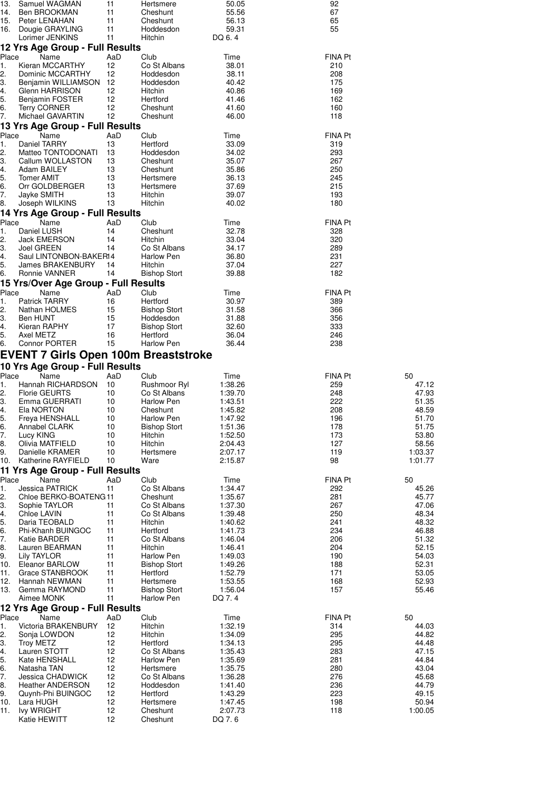| $\overline{13}$ .                  |                                             |           |                        |                   |                       |             |
|------------------------------------|---------------------------------------------|-----------|------------------------|-------------------|-----------------------|-------------|
|                                    | Samuel WAGMAN                               | 11        | Hertsmere              | 50.05             | 92                    |             |
| 14.                                | Ben BROOKMAN                                | 11        | Cheshunt               | 55.56             | 67                    |             |
| 15.                                | Peter LENAHAN                               | 11        | Cheshunt               | 56.13             | 65                    |             |
| 16.                                | Dougie GRAYLING                             | 11        | Hoddesdon              | 59.31             | 55                    |             |
|                                    | Lorimer JENKINS                             | 11        | Hitchin                | DQ 6.4            |                       |             |
|                                    | 12 Yrs Age Group - Full Results             |           |                        |                   |                       |             |
| Place                              | Name                                        | AaD       | Club                   | Time              | <b>FINA Pt</b>        |             |
| 1.                                 | Kieran MCCARTHY                             | 12        | Co St Albans           | 38.01             | 210                   |             |
| 2.                                 | Dominic MCCARTHY                            | 12        | Hoddesdon              | 38.11             | 208                   |             |
| З.                                 | Benjamin WILLIAMSON                         | 12        | Hoddesdon              | 40.42             | 175                   |             |
| 4.                                 | Glenn HARRISON                              | 12        | Hitchin                | 40.86             | 169                   |             |
| 5.<br>6.                           | Benjamin FOSTER                             | 12<br>12  | Hertford               | 41.46             | 162<br>160            |             |
| 7.                                 | <b>Terry CORNER</b><br>Michael GAVARTIN     | 12        | Cheshunt<br>Cheshunt   | 41.60<br>46.00    | 118                   |             |
|                                    |                                             |           |                        |                   |                       |             |
| Place                              | 13 Yrs Age Group - Full Results             |           |                        |                   |                       |             |
| 1.                                 | Name<br>Daniel TARRY                        | AaD<br>13 | Club<br>Hertford       | Time<br>33.09     | <b>FINA Pt</b><br>319 |             |
| 2.                                 | Matteo TONTODONATI                          | 13        | Hoddesdon              | 34.02             | 293                   |             |
| З.                                 | Callum WOLLASTON                            | 13        | Cheshunt               | 35.07             | 267                   |             |
| 4.                                 | Adam BAILEY                                 | 13        | Cheshunt               | 35.86             | 250                   |             |
| 5.                                 | <b>Tomer AMIT</b>                           | 13        | Hertsmere              | 36.13             | 245                   |             |
| 6.                                 | Orr GOLDBERGER                              | 13        | Hertsmere              | 37.69             | 215                   |             |
| 7.                                 | Jayke SMITH                                 | 13        | Hitchin                | 39.07             | 193                   |             |
| 8.                                 | Joseph WILKINS                              | 13        | Hitchin                | 40.02             | 180                   |             |
|                                    | 14 Yrs Age Group - Full Results             |           |                        |                   |                       |             |
| Place                              | Name                                        | AaD       | Club                   | Time              | <b>FINA Pt</b>        |             |
| 1.                                 | Daniel LUSH                                 | 14        | Cheshunt               | 32.78             | 328                   |             |
| 2.                                 | <b>Jack EMERSON</b>                         | 14        | Hitchin                | 33.04             | 320                   |             |
| З.                                 | Joel GREEN                                  | 14        | Co St Albans           | 34.17             | 289                   |             |
| 4.                                 | Saul LINTONBON-BAKER14                      |           | Harlow Pen             | 36.80             | 231                   |             |
| 5.                                 | James BRAKENBURY                            | 14        | Hitchin                | 37.04             | 227                   |             |
| 6.                                 | Ronnie VANNER                               | 14        | <b>Bishop Stort</b>    | 39.88             | 182                   |             |
|                                    | 15 Yrs/Over Age Group - Full Results        |           |                        |                   |                       |             |
| Place                              | Name                                        | AaD       | Club                   | Time              | <b>FINA Pt</b>        |             |
| 1.                                 | <b>Patrick TARRY</b>                        | 16        | Hertford               | 30.97             | 389                   |             |
| 2.                                 | Nathan HOLMES                               | 15        | <b>Bishop Stort</b>    | 31.58             | 366                   |             |
| З.                                 | Ben HUNT                                    | 15        | Hoddesdon              | 31.88             | 356                   |             |
| 4.                                 | Kieran RAPHY                                | 17        | <b>Bishop Stort</b>    | 32.60             | 333                   |             |
| 5.<br>6.                           | Axel METZ<br><b>Connor PORTER</b>           | 16<br>15  | Hertford<br>Harlow Pen | 36.04<br>36.44    | 246<br>238            |             |
|                                    |                                             |           |                        |                   |                       |             |
|                                    | <b>EVENT 7 Girls Open 100m Breaststroke</b> |           |                        |                   |                       |             |
|                                    | 10 Yrs Age Group - Full Results             |           |                        |                   |                       |             |
| Place                              | Name                                        | AaD       | Club                   | Time              | FINA Pt               | 50          |
| 1.                                 | Hannah RICHARDSON                           | 10        | Rushmoor Ryl           | 1:38.26           | 259                   | 47.12       |
|                                    | <b>Florie GEURTS</b>                        | 10        | Co St Albans           | 1:39.70           | 248                   | 47.93       |
| 2.                                 |                                             |           |                        |                   |                       |             |
| З.                                 | Emma GUERRATI                               | 10        | Harlow Pen             | 1:43.51           | 222                   | 51.35       |
| 4.                                 | Ela NORTON                                  | 10        | Cheshunt               | 1:45.82           | 208                   | 48.59       |
| 5.                                 | Freya HENSHALL                              | 10        | <b>Harlow Pen</b>      | 1:47.92           | 196                   | 51.70       |
| 6.                                 | Annabel CLARK                               | 10        | <b>Bishop Stort</b>    | 1:51.36           | 178                   | 51.75       |
| 7.                                 | Lucy KING                                   | 10        | Hitchin                | 1:52.50           | 173                   | 53.80       |
| 8.                                 | Olivia MATFIELD                             | 10        | Hitchin                | 2:04.43           | 127                   | 58.56       |
| 9.                                 | Danielle KRAMER                             | 10<br>10  | Hertsmere<br>Ware      | 2:07.17           | 119<br>98             | 1:03.37     |
| 10.                                | Katherine RAYFIELD                          |           |                        | 2:15.87           |                       | 1:01.77     |
|                                    | 11 Yrs Age Group - Full Results             |           |                        |                   |                       |             |
| Place<br>1.                        | Name<br><b>Jessica PATRICK</b>              | AaD<br>11 | Club<br>Co St Albans   | Time<br>1:34.47   | <b>FINA Pt</b><br>292 | 50<br>45.26 |
| 2.                                 | Chloe BERKO-BOATENG11                       |           | Cheshunt               | 1:35.67           | 281                   | 45.77       |
| З.                                 | Sophie TAYLOR                               | 11        | Co St Albans           | 1:37.30           | 267                   | 47.06       |
| 4.                                 | Chloe LAVIN                                 | 11        | Co St Albans           | 1:39.48           | 250                   | 48.34       |
| 5.                                 | Daria TEOBALD                               | 11        | Hitchin                | 1:40.62           | 241                   | 48.32       |
|                                    | Phi-Khanh BUINGOC                           | 11        | Hertford               | 1:41.73           | 234                   | 46.88       |
| 6.<br>7.                           | Katie BARDER                                | 11        | Co St Albans           | 1:46.04           | 206                   | 51.32       |
| 8.                                 | Lauren BEARMAN                              | 11        | Hitchin                | 1:46.41           | 204                   | 52.15       |
| 9.                                 | <b>Lily TAYLOR</b>                          | 11        | <b>Harlow Pen</b>      | 1:49.03           | 190                   | 54.03       |
|                                    | Eleanor BARLOW                              | 11        | <b>Bishop Stort</b>    | 1:49.26           | 188                   | 52.31       |
| 10.<br>11.                         | Grace STANBROOK                             | 11        | Hertford               | 1:52.79           | 171                   | 53.05       |
|                                    | Hannah NEWMAN                               | 11        | Hertsmere              | 1:53.55           | 168                   | 52.93       |
| 12.<br>13.                         | Gemma RAYMOND<br>Aimee MONK                 | 11<br>11  | <b>Bishop Stort</b>    | 1:56.04<br>DQ 7.4 | 157                   | 55.46       |
|                                    |                                             |           | Harlow Pen             |                   |                       |             |
| Place                              | 12 Yrs Age Group - Full Results<br>Name     | AaD       | Club                   | Time              | FINA Pt               | 50          |
| 1.                                 | <b>Victoria BRAKENBURY</b>                  | 12        | Hitchin                | 1:32.19           | 314                   | 44.03       |
|                                    | Sonja LOWDON                                | 12        | Hitchin                | 1:34.09           | 295                   | 44.82       |
| 2.<br>З.                           | <b>Troy METZ</b>                            | 12        | Hertford               | 1:34.13           | 295                   | 44.48       |
| 4.                                 | Lauren STOTT                                | 12        | Co St Albans           | 1:35.43           | 283                   | 47.15       |
| 5.                                 | Kate HENSHALL                               | 12        | Harlow Pen             | 1:35.69           | 281                   | 44.84       |
|                                    | Natasha TAN                                 | 12        | Hertsmere              | 1:35.75           | 280                   | 43.04       |
|                                    | Jessica CHADWICK                            | 12        | Co St Albans           | 1:36.28           | 276                   | 45.68       |
|                                    | <b>Heather ANDERSON</b>                     | 12        | Hoddesdon              | 1:41.40           | 236                   | 44.79       |
|                                    | Quynh-Phi BUINGOC                           | 12        | Hertford               | 1:43.29           | 223                   | 49.15       |
|                                    | Lara HUGH                                   | 12        | Hertsmere              | 1:47.45           | 198                   | 50.94       |
| 6.<br>7.<br>8.<br>9.<br>10.<br>11. | <b>Ivy WRIGHT</b><br>Katie HEWITT           | 12<br>12  | Cheshunt<br>Cheshunt   | 2:07.73<br>DQ 7.6 | 118                   | 1:00.05     |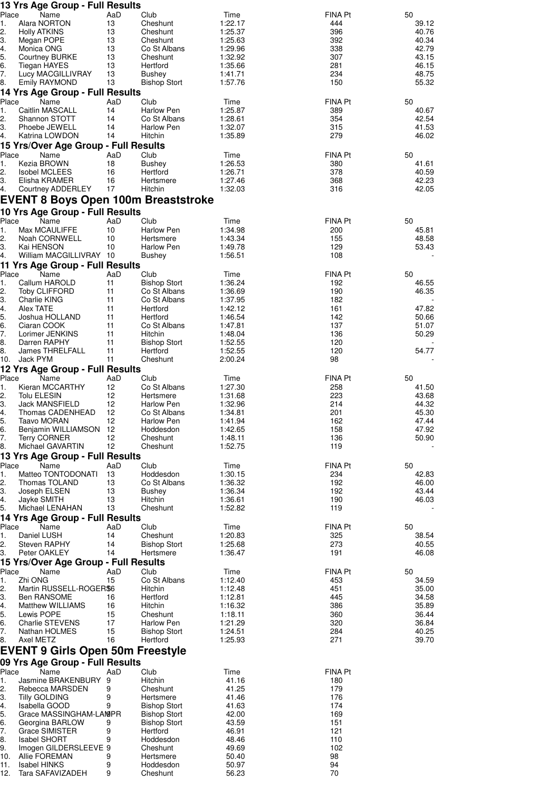|             | 13 Yrs Age Group - Full Results               |           |                                   |                    |                       |                |
|-------------|-----------------------------------------------|-----------|-----------------------------------|--------------------|-----------------------|----------------|
| Place<br>1. | Name<br>Alara NORTON                          | AaD<br>13 | Club<br>Cheshunt                  | Time<br>1:22.17    | <b>FINA Pt</b><br>444 | 50<br>39.12    |
| 2.          | <b>Holly ATKINS</b>                           | 13        | Cheshunt                          | 1:25.37            | 396                   | 40.76          |
| З.          | Megan POPE                                    | 13        | Cheshunt                          | 1:25.63            | 392                   | 40.34          |
| 4.          | Monica ONG                                    | 13        | Co St Albans                      | 1:29.96            | 338                   | 42.79          |
| 5.<br>6.    | <b>Courtney BURKE</b><br><b>Tiegan HAYES</b>  | 13<br>13  | Cheshunt<br>Hertford              | 1:32.92<br>1:35.66 | 307<br>281            | 43.15<br>46.15 |
| 7.          | Lucy MACGILLIVRAY                             | 13        | Bushey                            | 1:41.71            | 234                   | 48.75          |
| 8.          | <b>Emily RAYMOND</b>                          | 13        | <b>Bishop Stort</b>               | 1:57.76            | 150                   | 55.32          |
|             | 14 Yrs Age Group - Full Results               |           |                                   |                    |                       |                |
| Place       | Name                                          | AaD       | Club                              | Time               | FINA Pt               | 50             |
| 1.<br>2.    | Caitlin MASCALL<br>Shannon STOTT              | 14<br>14  | <b>Harlow Pen</b><br>Co St Albans | 1:25.87<br>1:28.61 | 389<br>354            | 40.67<br>42.54 |
| З.          | Phoebe JEWELL                                 | 14        | Harlow Pen                        | 1:32.07            | 315                   | 41.53          |
| 4.          | Katrina LOWDON                                | 14        | Hitchin                           | 1:35.89            | 279                   | 46.02          |
|             | 15 Yrs/Over Age Group - Full Results          |           |                                   |                    |                       |                |
| Place       | Name                                          | AaD       | Club                              | Time               | FINA Pt               | 50             |
| 1.<br>2.    | Kezia BROWN                                   | 18        | Bushey<br>Hertford                | 1:26.53            | 380                   | 41.61          |
| З.          | <b>Isobel MCLEES</b><br>Elisha KRAMER         | 16<br>16  | Hertsmere                         | 1:26.71<br>1:27.46 | 378<br>368            | 40.59<br>42.23 |
| 4.          | Courtney ADDERLEY                             | 17        | Hitchin                           | 1:32.03            | 316                   | 42.05          |
|             | <b>EVENT 8 Boys Open 100m Breaststroke</b>    |           |                                   |                    |                       |                |
|             | 10 Yrs Age Group - Full Results               |           |                                   |                    |                       |                |
| Place       | Name                                          | AaD       | Club                              | Time               | <b>FINA Pt</b>        | 50             |
| 1.          | Max MCAULIFFE                                 | 10        | <b>Harlow Pen</b>                 | 1:34.98            | 200                   | 45.81          |
| 2.<br>3.    | Noah CORNWELL<br>Kai HENSON                   | 10<br>10  | Hertsmere<br>Harlow Pen           | 1:43.34<br>1:49.78 | 155<br>129            | 48.58<br>53.43 |
| 4.          | William MACGILLIVRAY 10                       |           | Bushey                            | 1:56.51            | 108                   |                |
|             | 11 Yrs Age Group - Full Results               |           |                                   |                    |                       |                |
| Place       | Name                                          | AaD       | Club                              | Time               | FINA Pt               | 50             |
| 1.          | Callum HAROLD                                 | 11        | <b>Bishop Stort</b>               | 1:36.24            | 192                   | 46.55          |
| 2.<br>З.    | <b>Toby CLIFFORD</b><br>Charlie KING          | 11<br>11  | Co St Albans<br>Co St Albans      | 1:36.69<br>1:37.95 | 190<br>182            | 46.35          |
| 4.          | Alex TATE                                     | 11        | Hertford                          | 1:42.12            | 161                   | 47.82          |
| 5.          | Joshua HOLLAND                                | 11        | Hertford                          | 1:46.54            | 142                   | 50.66          |
| 6.          | Ciaran COOK                                   | 11        | Co St Albans                      | 1:47.81            | 137                   | 51.07          |
| 7.<br>8.    | Lorimer JENKINS<br>Darren RAPHY               | 11<br>11  | Hitchin<br><b>Bishop Stort</b>    | 1:48.04<br>1:52.55 | 136<br>120            | 50.29          |
| 8.          | James THRELFALL                               | 11        | Hertford                          | 1:52.55            | 120                   | 54.77          |
| 10.         | Jack PYM                                      | 11        | Cheshunt                          | 2:00.24            | 98                    |                |
|             | 12 Yrs Age Group - Full Results               |           |                                   |                    |                       |                |
| Place       | Name                                          | AaD       | Club                              | Time               | FINA Pt               | 50             |
| 1.<br>2.    | Kieran MCCARTHY<br>Tolu ELESIN                | 12<br>12  | Co St Albans<br>Hertsmere         | 1:27.30<br>1:31.68 | 258<br>223            | 41.50<br>43.68 |
| 3.          | <b>Jack MANSFIELD</b>                         | 12        | Harlow Pen                        | 1:32.96            | 214                   | 44.32          |
| 4.          | Thomas CADENHEAD                              | 12        | Co St Albans                      | 1:34.81            | 201                   | 45.30          |
| 5.          | Taavo MORAN                                   | 12        | Harlow Pen                        | 1:41.94            | 162                   | 47.44          |
| 6.<br>7.    | Benjamin WILLIAMSON 12<br><b>Terry CORNER</b> | 12        | Hoddesdon<br>Cheshunt             | 1:42.65<br>1:48.11 | 158<br>136            | 47.92<br>50.90 |
| 8.          | Michael GAVARTIN                              | 12        | Cheshunt                          | 1:52.75            | 119                   |                |
|             | 13 Yrs Age Group - Full Results               |           |                                   |                    |                       |                |
| Place       | Name                                          | AaD       | Club                              | Time               | FINA Pt               | 50             |
| 1.          | Matteo TONTODONATI                            | 13        | Hoddesdon                         | 1:30.15            | 234                   | 42.83          |
| 2.<br>З.    | Thomas TOLAND<br>Joseph ELSEN                 | 13<br>13  | Co St Albans<br>Bushey            | 1:36.32<br>1:36.34 | 192<br>192            | 46.00<br>43.44 |
| 4.          | Jayke SMITH                                   | 13        | Hitchin                           | 1:36.61            | 190                   | 46.03          |
| 5.          | Michael LENAHAN                               | 13        | Cheshunt                          | 1:52.82            | 119                   |                |
|             | 14 Yrs Age Group - Full Results               |           |                                   |                    |                       |                |
| Place<br>1. | Name<br>Daniel LUSH                           | AaD<br>14 | Club<br>Cheshunt                  | Time<br>1:20.83    | FINA Pt<br>325        | 50<br>38.54    |
| 2.          | Steven RAPHY                                  | 14        | <b>Bishop Stort</b>               | 1:25.68            | 273                   | 40.55          |
| З.          | Peter OAKLEY                                  | 14        | Hertsmere                         | 1:36.47            | 191                   | 46.08          |
|             | 15 Yrs/Over Age Group - Full Results          |           |                                   |                    |                       |                |
| Place       | Name<br>Zhi ONG                               | AaD<br>15 | Club                              | Time               | FINA Pt               | 50<br>34.59    |
| 1.<br>2.    | Martin RUSSELL-ROGER\$6                       |           | Co St Albans<br>Hitchin           | 1:12.40<br>1:12.48 | 453<br>451            | 35.00          |
| З.          | Ben RANSOME                                   | 16        | Hertford                          | 1:12.81            | 445                   | 34.58          |
| 4.          | Matthew WILLIAMS                              | 16        | Hitchin                           | 1:16.32            | 386                   | 35.89          |
| 5.          | Lewis POPE                                    | 15        | Cheshunt                          | 1:18.11            | 360                   | 36.44          |
| 6.<br>7.    | Charlie STEVENS<br>Nathan HOLMES              | 17<br>15  | Harlow Pen<br><b>Bishop Stort</b> | 1:21.29<br>1:24.51 | 320<br>284            | 36.84<br>40.25 |
| 8.          | Axel METZ                                     | 16        | Hertford                          | 1:25.93            | 271                   | 39.70          |
|             | <b>EVENT 9 Girls Open 50m Freestyle</b>       |           |                                   |                    |                       |                |
|             | 09 Yrs Age Group - Full Results               |           |                                   |                    |                       |                |
| Place       | Name                                          | AaD       | Club                              | Time               | <b>FINA Pt</b>        |                |
| 1.          | Jasmine BRAKENBURY 9                          |           | Hitchin                           | 41.16              | 180                   |                |
| 2.<br>З.    | Rebecca MARSDEN<br>Tilly GOLDING              | 9<br>9    | Cheshunt<br>Hertsmere             | 41.25<br>41.46     | 179<br>176            |                |
| 4.          | Isabella GOOD                                 | 9         | <b>Bishop Stort</b>               | 41.63              | 174                   |                |
| 5.          | Grace MASSINGHAM-LAMPR                        |           | <b>Bishop Stort</b>               | 42.00              | 169                   |                |
| 6.          | Georgina BARLOW                               | 9         | <b>Bishop Stort</b>               | 43.59              | 151                   |                |
| 7.<br>8.    | Grace SIMISTER<br><b>Isabel SHORT</b>         | 9<br>9    | Hertford<br>Hoddesdon             | 46.91<br>48.46     | 121<br>110            |                |
| 9.          | Imogen GILDERSLEEVE 9                         |           | Cheshunt                          | 49.69              | 102                   |                |
| 10.         | Allie FOREMAN                                 | 9         | Hertsmere                         | 50.40              | 98                    |                |
| 11.         | Isabel HINKS                                  | 9         | Hoddesdon                         | 50.97              | 94                    |                |
| 12.         | Tara SAFAVIZADEH                              | 9         | Cheshunt                          | 56.23              | 70                    |                |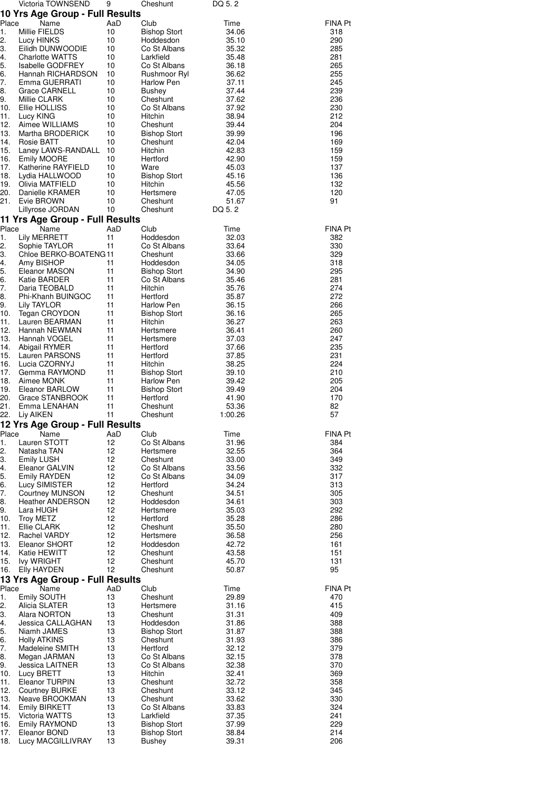|             | Victoria TOWNSEND                            | 9         | Cheshunt                                   | DQ 5.2         |                |
|-------------|----------------------------------------------|-----------|--------------------------------------------|----------------|----------------|
|             | 10 Yrs Age Group - Full Results              |           |                                            |                |                |
| Place       | Name                                         | AaD       | Club                                       | Time           | FINA Pt        |
| 1.<br>2.    | Millie FIELDS<br>Lucy HINKS                  | 10<br>10  | <b>Bishop Stort</b><br>Hoddesdon           | 34.06<br>35.10 | 318<br>290     |
| 3.          | Eilidh DUNWOODIE                             | 10        | Co St Albans                               | 35.32          | 285            |
| 4.          | <b>Charlotte WATTS</b>                       | 10        | Larkfield                                  | 35.48          | 281            |
| 5.          | <b>Isabelle GODFREY</b>                      | 10        | Co St Albans                               | 36.18          | 265            |
| 6.          | Hannah RICHARDSON                            | 10        | Rushmoor Ryl                               | 36.62          | 255            |
| 7.          | Emma GUERRATI                                | 10        | Harlow Pen                                 | 37.11          | 245            |
| 8.          | Grace CARNELL                                | 10        | Bushey                                     | 37.44          | 239            |
| 9.<br>10.   | Millie CLARK<br>Ellie HOLLISS                | 10<br>10  | Cheshunt<br>Co St Albans                   | 37.62<br>37.92 | 236<br>230     |
| 11.         | Lucy KING                                    | 10        | Hitchin                                    | 38.94          | 212            |
| 12.         | Aimee WILLIAMS                               | 10        | Cheshunt                                   | 39.44          | 204            |
| 13.         | Martha BRODERICK                             | 10        | <b>Bishop Stort</b>                        | 39.99          | 196            |
| 14.         | Rosie BATT                                   | 10        | Cheshunt                                   | 42.04          | 169            |
| 15.         | Laney LAWS-RANDALL                           | 10        | Hitchin                                    | 42.83          | 159            |
| 16.<br>17.  | Emily MOORE<br>Katherine RAYFIELD            | 10<br>10  | Hertford<br>Ware                           | 42.90<br>45.03 | 159<br>137     |
| 18.         | Lydia HALLWOOD                               | 10        | <b>Bishop Stort</b>                        | 45.16          | 136            |
| 19.         | Olivia MATFIELD                              | 10        | Hitchin                                    | 45.56          | 132            |
| 20.         | Danielle KRAMER                              | 10        | Hertsmere                                  | 47.05          | 120            |
| 21.         | Evie BROWN                                   | 10        | Cheshunt                                   | 51.67          | 91             |
|             | Lillyrose JORDAN                             | 10        | Cheshunt                                   | DQ 5.2         |                |
|             | 11 Yrs Age Group - Full Results              |           |                                            |                |                |
| Place<br>1. | Name<br><b>Lily MERRETT</b>                  | AaD<br>11 | Club<br>Hoddesdon                          | Time           | <b>FINA Pt</b> |
| 2.          | Sophie TAYLOR                                | 11        | Co St Albans                               | 32.03<br>33.64 | 382<br>330     |
| 3.          | Chloe BERKO-BOATENG11                        |           | Cheshunt                                   | 33.66          | 329            |
| 4.          | Amy BISHOP                                   | 11        | Hoddesdon                                  | 34.05          | 318            |
| 5.          | Eleanor MASON                                | 11        | <b>Bishop Stort</b>                        | 34.90          | 295            |
| 6.          | Katie BARDER                                 | 11        | Co St Albans                               | 35.46          | 281            |
| 7.          | Daria TEOBALD                                | 11        | Hitchin                                    | 35.76          | 274            |
| 8.<br>9.    | Phi-Khanh BUINGOC<br>Lily TAYLOR             | 11<br>11  | Hertford<br><b>Harlow Pen</b>              | 35.87<br>36.15 | 272<br>266     |
| 10.         | Tegan CROYDON                                | 11        | <b>Bishop Stort</b>                        | 36.16          | 265            |
| 11.         | Lauren BEARMAN                               | 11        | Hitchin                                    | 36.27          | 263            |
| 12.         | Hannah NEWMAN                                | 11        | Hertsmere                                  | 36.41          | 260            |
| 13.         | Hannah VOGEL                                 | 11        | Hertsmere                                  | 37.03          | 247            |
| 14.         | Abigail RYMER                                | 11<br>11  | Hertford                                   | 37.66          | 235            |
| 15.<br>16.  | Lauren PARSONS<br>Lucia CZORNYJ              | 11        | Hertford<br>Hitchin                        | 37.85<br>38.25 | 231<br>224     |
| 17.         | Gemma RAYMOND                                | 11        | <b>Bishop Stort</b>                        | 39.10          | 210            |
| 18.         | Aimee MONK                                   | 11        | Harlow Pen                                 | 39.42          | 205            |
| 19.         | Eleanor BARLOW                               | 11        | <b>Bishop Stort</b>                        | 39.49          | 204            |
| 20.         | Grace STANBROOK                              | 11        | Hertford                                   | 41.90          | 170            |
| 21.<br>22.  | Emma LENAHAN                                 | 11<br>11  | Cheshunt                                   | 53.36          | 82<br>57       |
|             | Liy AIKEN<br>12 Yrs Age Group - Full Results |           | Cheshunt                                   | 1:00.26        |                |
| Place       | Name                                         | AaD       | Club                                       | Time           | FINA Pt        |
| 1.          | Lauren STOTT                                 | 12        | Co St Albans                               | 31.96          | 384            |
| 2.          | Natasha TAN                                  | 12        | Hertsmere                                  | 32.55          | 364            |
| 3.          | <b>Emily LUSH</b>                            | 12        | Cheshunt                                   | 33.00          | 349            |
| 4.          | Eleanor GALVIN                               | 12        | Co St Albans                               | 33.56          | 332            |
| 5.<br>6.    | Emily RAYDEN<br>Lucy SIMISTER                | 12<br>12  | Co St Albans<br>Hertford                   | 34.09<br>34.24 | 317<br>313     |
| 7.          | <b>Courtney MUNSON</b>                       | 12        | Cheshunt                                   | 34.51          | 305            |
| 8.          | <b>Heather ANDERSON</b>                      | 12        | Hoddesdon                                  | 34.61          | 303            |
| 9.          | Lara HUGH                                    | 12        | Hertsmere                                  | 35.03          | 292            |
| 10.         | Troy METZ                                    | 12        | Hertford                                   | 35.28          | 286            |
| 11.         | Ellie CLARK                                  | 12        | Cheshunt                                   | 35.50          | 280            |
| 12.<br>13.  | Rachel VARDY<br>Eleanor SHORT                | 12<br>12  | Hertsmere<br>Hoddesdon                     | 36.58<br>42.72 | 256<br>161     |
| 14.         | Katie HEWITT                                 | 12        | Cheshunt                                   | 43.58          | 151            |
| 15.         | <b>Ivy WRIGHT</b>                            | 12        | Cheshunt                                   | 45.70          | 131            |
| 16.         | <b>Elly HAYDEN</b>                           | 12        | Cheshunt                                   | 50.87          | 95             |
|             | 13 Yrs Age Group - Full Results              |           |                                            |                |                |
| Place       | Name                                         | AaD       | Club                                       | Time           | FINA Pt        |
| 1.          | Emily SOUTH                                  | 13        | Cheshunt                                   | 29.89          | 470            |
| 2.<br>3.    | Alicia SLATER<br>Alara NORTON                | 13<br>13  | Hertsmere<br>Cheshunt                      | 31.16<br>31.31 | 415<br>409     |
| 4.          | Jessica CALLAGHAN                            | 13        | Hoddesdon                                  | 31.86          | 388            |
| 5.          | Niamh JAMES                                  | 13        | Bishop Stort                               | 31.87          | 388            |
| 6.          | <b>Holly ATKINS</b>                          | 13        | Cheshunt                                   | 31.93          | 386            |
| 7.          | Madeleine SMITH                              | 13        | Hertford                                   | 32.12          | 379            |
| 8.          | Megan JARMAN                                 | 13        | Co St Albans                               | 32.15          | 378            |
| 9.<br>10.   | Jessica LAITNER<br>Lucy BRETT                | 13<br>13  | Co St Albans<br>Hitchin                    | 32.38<br>32.41 | 370<br>369     |
| 11.         | Eleanor TURPIN                               | 13        | Cheshunt                                   | 32.72          | 358            |
| 12.         | <b>Courtney BURKE</b>                        | 13        | Cheshunt                                   | 33.12          | 345            |
| 13.         | Neave BROOKMAN                               | 13        | Cheshunt                                   | 33.62          | 330            |
| 14.         | <b>Emily BIRKETT</b>                         | 13        | Co St Albans                               | 33.83          | 324            |
| 15.         | Victoria WATTS                               | 13<br>13  | Larkfield                                  | 37.35          | 241<br>229     |
| 16.<br>17.  | <b>Emily RAYMOND</b><br>Eleanor BOND         | 13        | <b>Bishop Stort</b><br><b>Bishop Stort</b> | 37.99<br>38.84 | 214            |
| 18.         | Lucy MACGILLIVRAY                            | 13        | <b>Bushey</b>                              | 39.31          | 206            |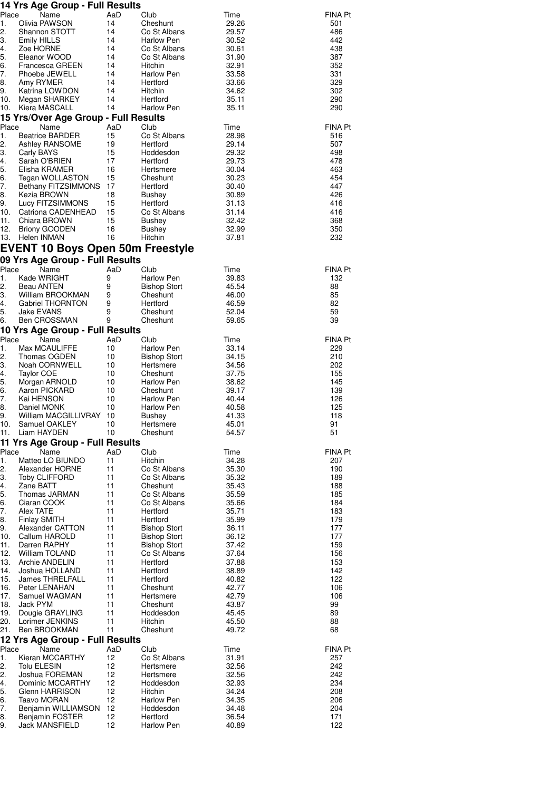|            | 14 Yrs Age Group - Full Results           |          |                                 |                |                |
|------------|-------------------------------------------|----------|---------------------------------|----------------|----------------|
| Place      | Name                                      | AaD      | Club                            | Time           | FINA Pt        |
| 1.         | Olivia PAWSON<br>Shannon STOTT            | 14       | Cheshunt                        | 29.26          | 501            |
| 2.<br>3.   | <b>Emily HILLS</b>                        | 14<br>14 | Co St Albans<br>Harlow Pen      | 29.57<br>30.52 | 486<br>442     |
| 4.         | Zoe HORNE                                 | 14       | Co St Albans                    | 30.61          | 438            |
| 5.         | Eleanor WOOD                              | 14       | Co St Albans                    | 31.90          | 387            |
| 6.         | Francesca GREEN                           | 14       | Hitchin                         | 32.91          | 352            |
| 7.         | Phoebe JEWELL                             | 14       | Harlow Pen                      | 33.58          | 331            |
| 8.         | Amy RYMER                                 | 14       | Hertford                        | 33.66          | 329            |
| 9.         | Katrina LOWDON                            | 14       | Hitchin                         | 34.62          | 302            |
| 10.<br>10. | Megan SHARKEY<br>Kiera MASCALL            | 14<br>14 | Hertford<br>Harlow Pen          | 35.11<br>35.11 | 290<br>290     |
|            | 15 Yrs/Over Age Group - Full Results      |          |                                 |                |                |
| Place      | Name                                      | AaD      | Club                            | Time           | <b>FINA Pt</b> |
| 1.         | <b>Beatrice BARDER</b>                    | 15       | Co St Albans                    | 28.98          | 516            |
| 2.         | Ashley RANSOME                            | 19       | Hertford                        | 29.14          | 507            |
| З.         | Carly BAYS                                | 15       | Hoddesdon                       | 29.32          | 498            |
| 4.         | Sarah O'BRIEN                             | 17       | Hertford                        | 29.73          | 478            |
| 5.         | Elisha KRAMER                             | 16       | Hertsmere                       | 30.04          | 463            |
| 6.<br>7.   | Tegan WOLLASTON<br>Bethany FITZSIMMONS 17 | 15       | Cheshunt<br>Hertford            | 30.23<br>30.40 | 454<br>447     |
| 8.         | Kezia BROWN                               | 18       | <b>Bushey</b>                   | 30.89          | 426            |
| 9.         | Lucy FITZSIMMONS                          | 15       | Hertford                        | 31.13          | 416            |
| 10.        | Catriona CADENHEAD                        | 15       | Co St Albans                    | 31.14          | 416            |
| 11.        | Chiara BROWN                              | 15       | Bushey                          | 32.42          | 368            |
| 12.        | <b>Briony GOODEN</b>                      | 16       | Bushey                          | 32.99          | 350            |
| 13.        | Helen INMAN                               | 16       | Hitchin                         | 37.81          | 232            |
|            | <b>EVENT 10 Boys Open 50m Freestyle</b>   |          |                                 |                |                |
|            | 09 Yrs Age Group - Full Results           |          |                                 |                |                |
| Place      | Name                                      | AaD      | Club                            | Time           | <b>FINA Pt</b> |
| 1.         | Kade WRIGHT                               | 9        | Harlow Pen                      | 39.83          | 132            |
| 2.<br>3.   | Beau ANTEN<br>William BROOKMAN            | 9<br>9   | <b>Bishop Stort</b><br>Cheshunt | 45.54<br>46.00 | 88<br>85       |
| 4.         | Gabriel THORNTON                          | 9        | Hertford                        | 46.59          | 82             |
| 5.         | <b>Jake EVANS</b>                         | 9        | Cheshunt                        | 52.04          | 59             |
| 6.         | Ben CROSSMAN                              | 9        | Cheshunt                        | 59.65          | 39             |
|            | 10 Yrs Age Group - Full Results           |          |                                 |                |                |
| Place      | Name                                      | AaD      | Club                            | Time           | <b>FINA Pt</b> |
| 1.         | Max MCAULIFFE                             | 10       | Harlow Pen                      | 33.14          | 229            |
| 2.<br>3.   | Thomas OGDEN                              | 10       | <b>Bishop Stort</b>             | 34.15          | 210            |
| 4.         | Noah CORNWELL<br><b>Taylor COE</b>        | 10<br>10 | Hertsmere<br>Cheshunt           | 34.56<br>37.75 | 202<br>155     |
| 5.         | Morgan ARNOLD                             | 10       | <b>Harlow Pen</b>               | 38.62          | 145            |
| 6.         | Aaron PICKARD                             | 10       | Cheshunt                        | 39.17          | 139            |
| 7.         | Kai HENSON                                | 10       | Harlow Pen                      | 40.44          | 126            |
| 8.         | Daniel MONK                               | 10       | Harlow Pen                      | 40.58          | 125            |
| 9.         | William MACGILLIVRAY                      | 10       | Bushey                          | 41.33          | 118            |
| 10.<br>11. | Samuel OAKLEY<br>Liam HAYDEN              | 10<br>10 | Hertsmere<br>Cheshunt           | 45.01<br>54.57 | 91<br>51       |
|            | 11 Yrs Age Group - Full Results           |          |                                 |                |                |
| Place      | Name                                      | AaD      | Club                            | Time           | FINA Pt        |
| 1.         | Matteo LO BIUNDO                          | 11       | Hitchin                         | 34.28          | 207            |
| 2.         | Alexander HORNE                           | 11       | Co St Albans                    | 35.30          | 190            |
| З.         | <b>Toby CLIFFORD</b>                      | 11       | Co St Albans                    | 35.32          | 189            |
| 4.         | Zane BATT                                 | 11       | Cheshunt                        | 35.43          | 188            |
| 5.<br>6.   | Thomas JARMAN<br>Ciaran COOK              | 11<br>11 | Co St Albans<br>Co St Albans    | 35.59<br>35.66 | 185<br>184     |
| 7.         | Alex TATE                                 | 11       | Hertford                        | 35.71          | 183            |
| 8.         | <b>Finlay SMITH</b>                       | 11       | Hertford                        | 35.99          | 179            |
| 9.         | Alexander CATTON                          | 11       | <b>Bishop Stort</b>             | 36.11          | 177            |
| 10.        | Callum HAROLD                             | 11       | <b>Bishop Stort</b>             | 36.12          | 177            |
| 11.        | Darren RAPHY                              | 11       | <b>Bishop Stort</b>             | 37.42          | 159            |
| 12.<br>13. | William TOLAND<br><b>Archie ANDELIN</b>   | 11<br>11 | Co St Albans<br>Hertford        | 37.64<br>37.88 | 156<br>153     |
| 14.        | Joshua HOLLAND                            | 11       | Hertford                        | 38.89          | 142            |
| 15.        | James THRELFALL                           | 11       | Hertford                        | 40.82          | 122            |
| 16.        | Peter LENAHAN                             | 11       | Cheshunt                        | 42.77          | 106            |
| 17.        | Samuel WAGMAN                             | 11       | Hertsmere                       | 42.79          | 106            |
| 18.        | Jack PYM                                  | 11       | Cheshunt                        | 43.87          | 99             |
| 19.<br>20. | Dougie GRAYLING<br>Lorimer JENKINS        | 11<br>11 | Hoddesdon<br>Hitchin            | 45.45<br>45.50 | 89<br>88       |
| 21.        | Ben BROOKMAN                              | 11       | Cheshunt                        | 49.72          | 68             |
|            | 12 Yrs Age Group - Full Results           |          |                                 |                |                |
| Place      | Name                                      | AaD      | Club                            | Time           | <b>FINA Pt</b> |
| 1.         | Kieran MCCARTHY                           | 12       | Co St Albans                    | 31.91          | 257            |
| 2.         | <b>Tolu ELESIN</b>                        | 12       | Hertsmere                       | 32.56          | 242            |
| 2.         | Joshua FOREMAN                            | 12       | Hertsmere                       | 32.56          | 242            |
| 4.<br>5.   | Dominic MCCARTHY<br>Glenn HARRISON        | 12<br>12 | Hoddesdon<br>Hitchin            | 32.93<br>34.24 | 234<br>208     |
| 6.         | Taavo MORAN                               | 12       | <b>Harlow Pen</b>               | 34.35          | 206            |
| 7.         | Benjamin WILLIAMSON                       | 12       | Hoddesdon                       | 34.48          | 204            |
| 8.         | Benjamin FOSTER                           | 12       | Hertford                        | 36.54          | 171            |
| 9.         | Jack MANSFIELD                            | 12       | <b>Harlow Pen</b>               | 40.89          | 122            |